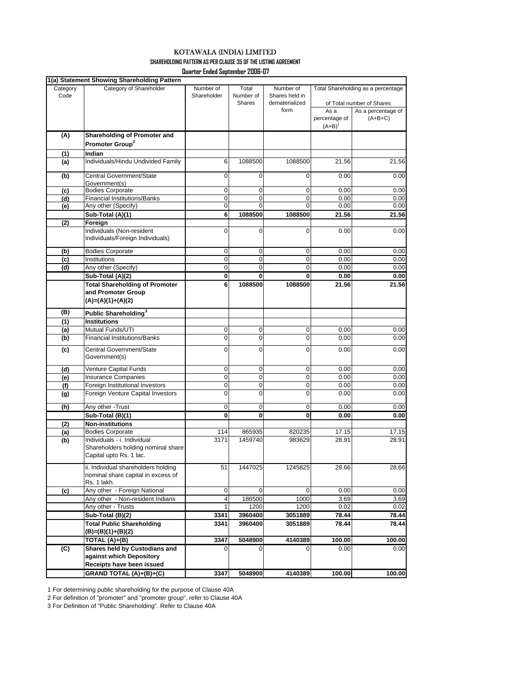**SHAREHOLDING PATTERN AS PER CLAUSE 35 OF THE LISTING AGREEMENT**

**Quarter Ended September 2006-07**

|          | 1(a) Statement Showing Shareholding Pattern                                                  |                    |                |                |                                    |                           |
|----------|----------------------------------------------------------------------------------------------|--------------------|----------------|----------------|------------------------------------|---------------------------|
| Category | Category of Shareholder                                                                      | Number of<br>Total |                | Number of      | Total Shareholding as a percentage |                           |
| Code     |                                                                                              | Shareholder        | Number of      | Shares held in |                                    |                           |
|          |                                                                                              |                    | Shares         | dematerialized |                                    | of Total number of Shares |
|          |                                                                                              |                    |                | form           | As a                               | As a percentage of        |
|          |                                                                                              |                    |                |                | percentage of                      | $(A+B+C)$                 |
|          |                                                                                              |                    |                |                | $(A+B)^{1}$                        |                           |
| (A)      | Shareholding of Promoter and                                                                 |                    |                |                |                                    |                           |
|          | Promoter Group <sup>2</sup>                                                                  |                    |                |                |                                    |                           |
| (1)      | Indian                                                                                       |                    |                |                |                                    |                           |
| (a)      | Individuals/Hindu Undivided Family                                                           | 6                  | 1088500        | 1088500        | 21.56                              | 21.56                     |
| (b)      | Central Government/State<br>Government(s)                                                    | $\mathbf 0$        | 0              | $\mathbf 0$    | 0.00                               | 0.00                      |
| (c)      | <b>Bodies Corporate</b>                                                                      | $\mathbf 0$        | $\mathbf 0$    | 0              | 0.00                               | 0.00                      |
| (d)      | <b>Financial Institutions/Banks</b>                                                          | $\mathbf 0$        | 0              | 0              | 0.00                               | 0.00                      |
| (e)      | Any other (Specify)                                                                          | 0                  | 0              | $\mathbf 0$    | 0.00                               | 0.00                      |
|          | Sub-Total (A)(1)                                                                             | 6                  | 1088500        | 1088500        | 21.56                              | 21.56                     |
| (2)      | Foreign                                                                                      |                    |                |                |                                    |                           |
|          | Individuals (Non-resident<br>Individuals/Foreign Individuals)                                | 0                  | $\mathbf 0$    | $\mathbf 0$    | 0.00                               | 0.00                      |
| (b)      | <b>Bodies Corporate</b>                                                                      | 0                  | 0              | 0              | 0.00                               | 0.00                      |
| (c)      | Institutions                                                                                 | 0                  | 0              | $\mathbf 0$    | 0.00                               | 0.00                      |
| (d)      | Any other (Specify)                                                                          | $\mathbf{0}$       | 0              | 0              | 0.00                               | 0.00                      |
|          | Sub-Total (A)(2)                                                                             | 0                  | 0              | 0              | 0.00                               | 0.00                      |
|          | <b>Total Shareholding of Promoter</b>                                                        | 6                  | 1088500        | 1088500        | 21.56                              | 21.56                     |
|          | and Promoter Group                                                                           |                    |                |                |                                    |                           |
|          | $(A)=(A)(1)+(A)(2)$                                                                          |                    |                |                |                                    |                           |
| (B)      | Public Shareholding <sup>3</sup>                                                             |                    |                |                |                                    |                           |
| (1)      | <b>Institutions</b>                                                                          |                    |                |                |                                    |                           |
| (a)      | Mutual Funds/UTI                                                                             | 0                  | 0              | 0              | 0.00                               | 0.00                      |
| (b)      | <b>Financial Institutions/Banks</b>                                                          | 0                  | 0              | 0              | 0.00                               | 0.00                      |
| (c)      | Central Government/State                                                                     | 0                  | 0              | $\mathbf 0$    | 0.00                               | 0.00                      |
|          | Government(s)                                                                                |                    |                |                |                                    |                           |
|          |                                                                                              |                    |                |                |                                    |                           |
| (d)      | Venture Capital Funds                                                                        | 0                  | 0              | 0              | 0.00                               | 0.00                      |
| (e)      | <b>Insurance Companies</b>                                                                   | 0                  | 0              | $\mathbf 0$    | 0.00                               | 0.00                      |
| (f)      | Foreign Institutional Investors                                                              | 0                  | 0              | 0              | 0.00                               | 0.00                      |
| (g)      | Foreign Venture Capital Investors                                                            | $\mathbf{0}$       | 0              | 0              | 0.00                               | 0.00                      |
| (h)      | Any other -Trust                                                                             | 0                  | 0              | 0              | 0.00                               | 0.00                      |
|          | Sub-Total (B)(1)                                                                             | 0                  | 0              | 0              | 0.00                               | 0.00                      |
| (2)      | <b>Non-institutions</b>                                                                      |                    |                |                |                                    |                           |
| (a)      | <b>Bodies Corporate</b>                                                                      | 114                | 865935         | 820235         | 17.15                              | 17.15                     |
| (b)      | Individuals - i. Individual<br>Shareholders holding nominal share<br>Capital upto Rs. 1 lac. | 3171               | 1459740        | 983629         | 28.91                              | 28.91                     |
|          | ii. Individual shareholders holding<br>nominal share capital in excess of<br>Rs. 1 lakh.     | 51                 | 1447025        | 1245825        | 28.66                              | 28.66                     |
| (c)      | Any other - Foreign National                                                                 | $\mathbf 0$        | $\overline{0}$ | $\mathbf 0$    | 0.00                               | 0.00                      |
|          | Any other - Non-resident Indians                                                             | 4                  | 186500         | 1000           | 3.69                               | 3.69                      |
|          | Any other - Trusts                                                                           | 1                  | 1200           | 1200           | 0.02                               | 0.02                      |
|          | Sub-Total (B)(2)                                                                             | 3341               | 3960400        | 3051889        | 78.44                              | 78.44                     |
|          | <b>Total Public Shareholding</b>                                                             | 3341               | 3960400        | 3051889        | 78.44                              | 78.44                     |
|          | (B)=(B)(1)+(B)(2)                                                                            |                    |                |                |                                    |                           |
|          | TOTAL (A)+(B)                                                                                | 3347               | 5048900        | 4140389        | 100.00                             | 100.00                    |
| (C)      | Shares held by Custodians and                                                                | 0                  | n              | $\Omega$       | 0.00                               | 0.00                      |
|          | against which Depository                                                                     |                    |                |                |                                    |                           |
|          | Receipts have been issued                                                                    |                    |                |                |                                    |                           |
|          | <b>GRAND TOTAL (A)+(B)+(C)</b>                                                               | 3347               | 5048900        | 4140389        | 100.00                             | 100.00                    |
|          |                                                                                              |                    |                |                |                                    |                           |

1 For determining public shareholding for the purpose of Clause 40A

2 For definition of "promoter" and "promoter group", refer to Clause 40A

3 For Definition of "Public Shareholding". Refer to Clause 40A